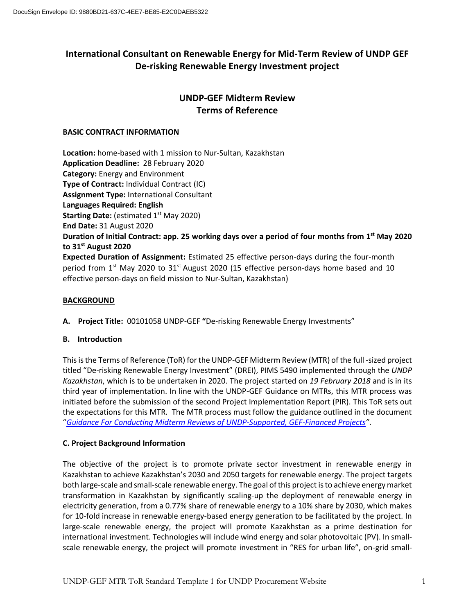# **International Consultant on Renewable Energy for Mid-Term Review of UNDP GEF De-risking Renewable Energy Investment project**

# **UNDP-GEF Midterm Review Terms of Reference**

## **BASIC CONTRACT INFORMATION**

**Location:** home-based with 1 mission to Nur-Sultan, Kazakhstan **Application Deadline:** 28 February 2020 **Category:** Energy and Environment **Type of Contract:** Individual Contract (IC) **Assignment Type:** International Consultant **Languages Required: English Starting Date:** (estimated 1st May 2020) **End Date:** 31 August 2020 **Duration of Initial Contract: app. 25 working days over a period of four months from 1st May 2020 to 31st August 2020 Expected Duration of Assignment:** Estimated 25 effective person-days during the four-month period from  $1<sup>st</sup>$  May 2020 to  $31<sup>st</sup>$  August 2020 (15 effective person-days home based and 10 effective person-days on field mission to Nur-Sultan, Kazakhstan)

### **BACKGROUND**

**A. Project Title:** 00101058 UNDP-GEF **"**De-risking Renewable Energy Investments"

### **B. Introduction**

This is the Terms of Reference (ToR) for the UNDP-GEF Midterm Review (MTR) of the full -sized project titled "De-risking Renewable Energy Investment" (DREI), PIMS 5490 implemented through the *UNDP Kazakhstan*, which is to be undertaken in 2020. The project started on *19 February 2018* and is in its third year of implementation. In line with the UNDP-GEF Guidance on MTRs, this MTR process was initiated before the submission of the second Project Implementation Report (PIR). This ToR sets out the expectations for this MTR. The MTR process must follow the guidance outlined in the document "*[Guidance For Conducting Midterm Reviews of UNDP-Supported, GEF-Financed Projects](http://web.undp.org/evaluation/documents/guidance/GEF/mid-term/Guidance_Midterm%20Review%20_EN_2014.pdf)"*.

### **C. Project Background Information**

The objective of the project is to promote private sector investment in renewable energy in Kazakhstan to achieve Kazakhstan's 2030 and 2050 targets for renewable energy. The project targets both large-scale and small-scale renewable energy. The goal of this project is to achieve energy market transformation in Kazakhstan by significantly scaling-up the deployment of renewable energy in electricity generation, from a 0.77% share of renewable energy to a 10% share by 2030, which makes for 10-fold increase in renewable energy-based energy generation to be facilitated by the project. In large-scale renewable energy, the project will promote Kazakhstan as a prime destination for international investment. Technologies will include wind energy and solar photovoltaic (PV). In smallscale renewable energy, the project will promote investment in "RES for urban life", on-grid small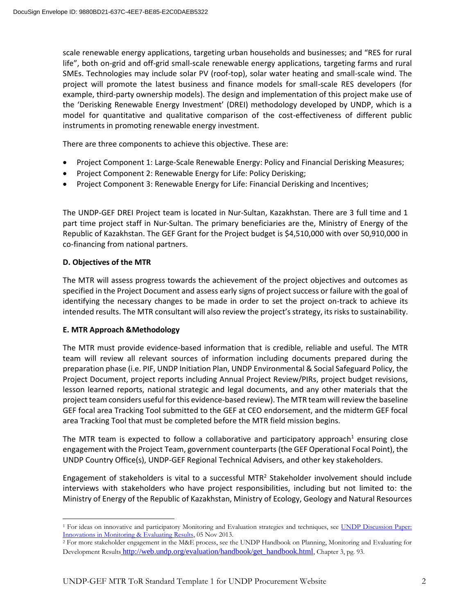scale renewable energy applications, targeting urban households and businesses; and "RES for rural life", both on-grid and off-grid small-scale renewable energy applications, targeting farms and rural SMEs. Technologies may include solar PV (roof-top), solar water heating and small-scale wind. The project will promote the latest business and finance models for small-scale RES developers (for example, third-party ownership models). The design and implementation of this project make use of the 'Derisking Renewable Energy Investment' (DREI) methodology developed by UNDP, which is a model for quantitative and qualitative comparison of the cost-effectiveness of different public instruments in promoting renewable energy investment.

There are three components to achieve this objective. These are:

- Project Component 1: Large-Scale Renewable Energy: Policy and Financial Derisking Measures;
- Project Component 2: Renewable Energy for Life: Policy Derisking;
- Project Component 3: Renewable Energy for Life: Financial Derisking and Incentives;

The UNDP-GEF DREI Project team is located in Nur-Sultan, Kazakhstan. There are 3 full time and 1 part time project staff in Nur-Sultan. The primary beneficiaries are the, Ministry of Energy of the Republic of Kazakhstan. The GEF Grant for the Project budget is \$4,510,000 with over 50,910,000 in co-financing from national partners.

#### **D. Objectives of the MTR**

 $\overline{\phantom{a}}$ 

The MTR will assess progress towards the achievement of the project objectives and outcomes as specified in the Project Document and assess early signs of project success or failure with the goal of identifying the necessary changes to be made in order to set the project on-track to achieve its intended results. The MTR consultant will also review the project's strategy, its risks to sustainability.

### **E. MTR Approach &Methodology**

The MTR must provide evidence-based information that is credible, reliable and useful. The MTR team will review all relevant sources of information including documents prepared during the preparation phase (i.e. PIF, UNDP Initiation Plan, UNDP Environmental & Social Safeguard Policy, the Project Document, project reports including Annual Project Review/PIRs, project budget revisions, lesson learned reports, national strategic and legal documents, and any other materials that the project team considers useful for this evidence-based review). The MTR team will review the baseline GEF focal area Tracking Tool submitted to the GEF at CEO endorsement, and the midterm GEF focal area Tracking Tool that must be completed before the MTR field mission begins.

The MTR team is expected to follow a collaborative and participatory approach<sup>1</sup> ensuring close engagement with the Project Team, government counterparts (the GEF Operational Focal Point), the UNDP Country Office(s), UNDP-GEF Regional Technical Advisers, and other key stakeholders.

Engagement of stakeholders is vital to a successful MTR<sup>2</sup> Stakeholder involvement should include interviews with stakeholders who have project responsibilities, including but not limited to: the Ministry of Energy of the Republic of Kazakhstan, Ministry of Ecology, Geology and Natural Resources

<sup>&</sup>lt;sup>1</sup> For ideas on innovative and participatory Monitoring and Evaluation strategies and techniques, see UNDP Discussion Paper: [Innovations in Monitoring & Evaluating Results,](http://www.undp.org/content/undp/en/home/librarypage/capacity-building/discussion-paper--innovations-in-monitoring---evaluating-results/) 05 Nov 2013.

<sup>2</sup> For more stakeholder engagement in the M&E process, see the [UNDP Handbook on Planning, Monitoring and Evaluating for](http://www.undg.org/docs/11653/UNDP-PME-Handbook-(2009).pdf)  [Development Results](http://www.undg.org/docs/11653/UNDP-PME-Handbook-(2009).pdf) [http://web.undp.org/evaluation/handbook/get\\_handbook.html](http://web.undp.org/evaluation/handbook/get_handbook.html), Chapter 3, pg. 93.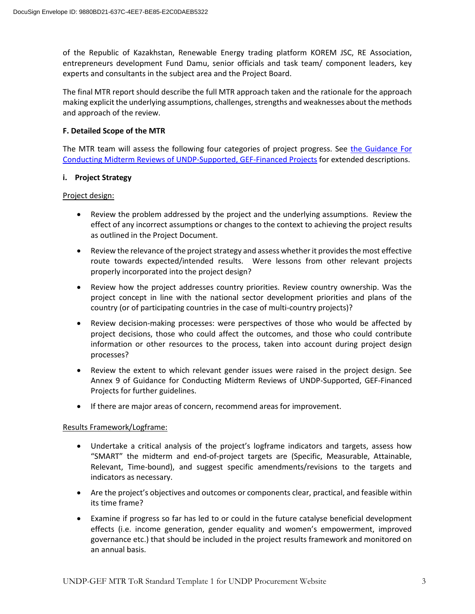of the Republic of Kazakhstan, Renewable Energy trading platform KOREM JSC, RE Association, entrepreneurs development Fund Damu, senior officials and task team/ component leaders, key experts and consultants in the subject area and the Project Board.

The final MTR report should describe the full MTR approach taken and the rationale for the approach making explicit the underlying assumptions, challenges, strengths and weaknesses about the methods and approach of the review.

#### **F. Detailed Scope of the MTR**

The MTR team will assess the following four categories of project progress. See the Guidance For [Conducting Midterm Reviews of UNDP-Supported, GEF-Financed Projects](http://web.undp.org/evaluation/documents/guidance/GEF/mid-term/Guidance_Midterm%20Review%20_EN_2014.pdf) for extended descriptions.

#### **i. Project Strategy**

#### Project design:

- Review the problem addressed by the project and the underlying assumptions. Review the effect of any incorrect assumptions or changes to the context to achieving the project results as outlined in the Project Document.
- Review the relevance of the project strategy and assess whether it provides the most effective route towards expected/intended results. Were lessons from other relevant projects properly incorporated into the project design?
- Review how the project addresses country priorities. Review country ownership. Was the project concept in line with the national sector development priorities and plans of the country (or of participating countries in the case of multi-country projects)?
- Review decision-making processes: were perspectives of those who would be affected by project decisions, those who could affect the outcomes, and those who could contribute information or other resources to the process, taken into account during project design processes?
- Review the extent to which relevant gender issues were raised in the project design. See Annex 9 of Guidance for Conducting Midterm Reviews of UNDP-Supported, GEF-Financed Projects for further guidelines.
- If there are major areas of concern, recommend areas for improvement.

### Results Framework/Logframe:

- Undertake a critical analysis of the project's logframe indicators and targets, assess how "SMART" the midterm and end-of-project targets are (Specific, Measurable, Attainable, Relevant, Time-bound), and suggest specific amendments/revisions to the targets and indicators as necessary.
- Are the project's objectives and outcomes or components clear, practical, and feasible within its time frame?
- Examine if progress so far has led to or could in the future catalyse beneficial development effects (i.e. income generation, gender equality and women's empowerment, improved governance etc.) that should be included in the project results framework and monitored on an annual basis.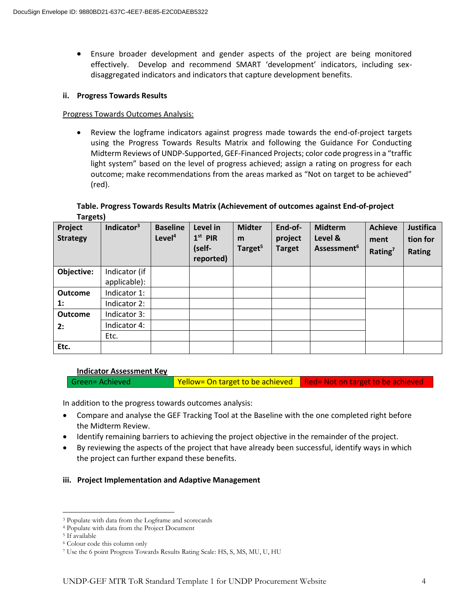Ensure broader development and gender aspects of the project are being monitored effectively. Develop and recommend SMART 'development' indicators, including sexdisaggregated indicators and indicators that capture development benefits.

#### **ii. Progress Towards Results**

#### Progress Towards Outcomes Analysis:

 Review the logframe indicators against progress made towards the end-of-project targets using the Progress Towards Results Matrix and following the Guidance For Conducting Midterm Reviews of UNDP-Supported, GEF-Financed Projects; color code progress in a "traffic light system" based on the level of progress achieved; assign a rating on progress for each outcome; make recommendations from the areas marked as "Not on target to be achieved" (red).

#### **Table. Progress Towards Results Matrix (Achievement of outcomes against End-of-project Targets)**

| Project<br><b>Strategy</b> | Indicator <sup>3</sup> | <b>Baseline</b><br>Level <sup>4</sup> | Level in<br>$1st$ PIR<br>(self-<br>reported) | <b>Midter</b><br>m<br>Target <sup>5</sup> | End-of-<br>project<br><b>Target</b> | <b>Midterm</b><br>Level &<br>Assessment <sup>6</sup> | <b>Achieve</b><br>ment<br>Rating <sup>7</sup> | Justifica<br>tion for<br><b>Rating</b> |
|----------------------------|------------------------|---------------------------------------|----------------------------------------------|-------------------------------------------|-------------------------------------|------------------------------------------------------|-----------------------------------------------|----------------------------------------|
| Objective:                 | Indicator (if          |                                       |                                              |                                           |                                     |                                                      |                                               |                                        |
|                            | applicable):           |                                       |                                              |                                           |                                     |                                                      |                                               |                                        |
| <b>Outcome</b>             | Indicator 1:           |                                       |                                              |                                           |                                     |                                                      |                                               |                                        |
| $\mathbf{1}$ :             | Indicator 2:           |                                       |                                              |                                           |                                     |                                                      |                                               |                                        |
| <b>Outcome</b>             | Indicator 3:           |                                       |                                              |                                           |                                     |                                                      |                                               |                                        |
| 2:                         | Indicator 4:           |                                       |                                              |                                           |                                     |                                                      |                                               |                                        |
|                            | Etc.                   |                                       |                                              |                                           |                                     |                                                      |                                               |                                        |
| Etc.                       |                        |                                       |                                              |                                           |                                     |                                                      |                                               |                                        |

#### **Indicator Assessment Key**

Green= Achieved Yellow= On target to be achieved Red= Not on target to be achieved

In addition to the progress towards outcomes analysis:

- Compare and analyse the GEF Tracking Tool at the Baseline with the one completed right before the Midterm Review.
- Identify remaining barriers to achieving the project objective in the remainder of the project.
- By reviewing the aspects of the project that have already been successful, identify ways in which the project can further expand these benefits.

#### **iii. Project Implementation and Adaptive Management**

 $\overline{\phantom{a}}$ 

<sup>3</sup> Populate with data from the Logframe and scorecards

<sup>4</sup> Populate with data from the Project Document

<sup>5</sup> If available

<sup>6</sup> Colour code this column only

<sup>7</sup> Use the 6 point Progress Towards Results Rating Scale: HS, S, MS, MU, U, HU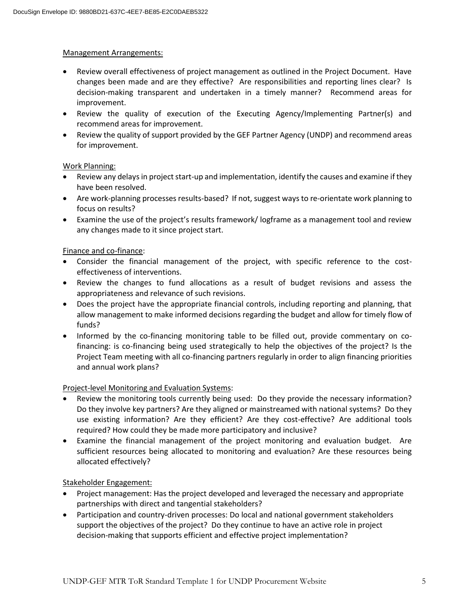#### Management Arrangements:

- Review overall effectiveness of project management as outlined in the Project Document. Have changes been made and are they effective? Are responsibilities and reporting lines clear? Is decision-making transparent and undertaken in a timely manner? Recommend areas for improvement.
- Review the quality of execution of the Executing Agency/Implementing Partner(s) and recommend areas for improvement.
- Review the quality of support provided by the GEF Partner Agency (UNDP) and recommend areas for improvement.

### Work Planning:

- Review any delays in project start-up and implementation, identify the causes and examine if they have been resolved.
- Are work-planning processes results-based? If not, suggest ways to re-orientate work planning to focus on results?
- Examine the use of the project's results framework/ logframe as a management tool and review any changes made to it since project start.

#### Finance and co-finance:

- Consider the financial management of the project, with specific reference to the costeffectiveness of interventions.
- Review the changes to fund allocations as a result of budget revisions and assess the appropriateness and relevance of such revisions.
- Does the project have the appropriate financial controls, including reporting and planning, that allow management to make informed decisions regarding the budget and allow for timely flow of funds?
- Informed by the co-financing monitoring table to be filled out, provide commentary on cofinancing: is co-financing being used strategically to help the objectives of the project? Is the Project Team meeting with all co-financing partners regularly in order to align financing priorities and annual work plans?

### Project-level Monitoring and Evaluation Systems:

- Review the monitoring tools currently being used: Do they provide the necessary information? Do they involve key partners? Are they aligned or mainstreamed with national systems? Do they use existing information? Are they efficient? Are they cost-effective? Are additional tools required? How could they be made more participatory and inclusive?
- Examine the financial management of the project monitoring and evaluation budget. Are sufficient resources being allocated to monitoring and evaluation? Are these resources being allocated effectively?

Stakeholder Engagement:

- Project management: Has the project developed and leveraged the necessary and appropriate partnerships with direct and tangential stakeholders?
- Participation and country-driven processes: Do local and national government stakeholders support the objectives of the project? Do they continue to have an active role in project decision-making that supports efficient and effective project implementation?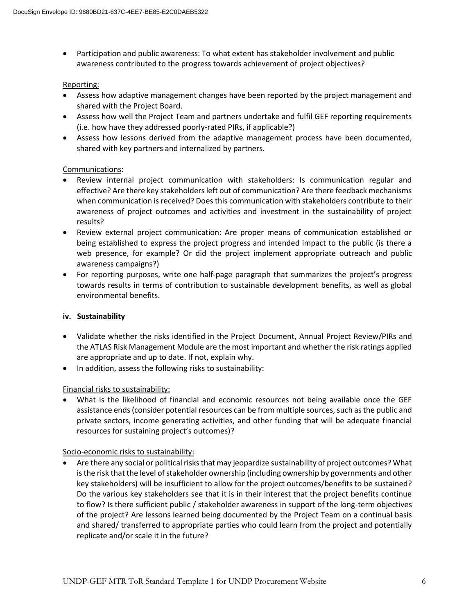Participation and public awareness: To what extent has stakeholder involvement and public awareness contributed to the progress towards achievement of project objectives?

#### Reporting:

- Assess how adaptive management changes have been reported by the project management and shared with the Project Board.
- Assess how well the Project Team and partners undertake and fulfil GEF reporting requirements (i.e. how have they addressed poorly-rated PIRs, if applicable?)
- Assess how lessons derived from the adaptive management process have been documented, shared with key partners and internalized by partners.

### Communications:

- Review internal project communication with stakeholders: Is communication regular and effective? Are there key stakeholders left out of communication? Are there feedback mechanisms when communication is received? Does this communication with stakeholders contribute to their awareness of project outcomes and activities and investment in the sustainability of project results?
- Review external project communication: Are proper means of communication established or being established to express the project progress and intended impact to the public (is there a web presence, for example? Or did the project implement appropriate outreach and public awareness campaigns?)
- For reporting purposes, write one half-page paragraph that summarizes the project's progress towards results in terms of contribution to sustainable development benefits, as well as global environmental benefits.

### **iv. Sustainability**

- Validate whether the risks identified in the Project Document, Annual Project Review/PIRs and the ATLAS Risk Management Module are the most important and whether the risk ratings applied are appropriate and up to date. If not, explain why.
- In addition, assess the following risks to sustainability:

### Financial risks to sustainability:

 What is the likelihood of financial and economic resources not being available once the GEF assistance ends (consider potential resources can be from multiple sources, such as the public and private sectors, income generating activities, and other funding that will be adequate financial resources for sustaining project's outcomes)?

### Socio-economic risks to sustainability:

 Are there any social or political risks that may jeopardize sustainability of project outcomes? What is the risk that the level of stakeholder ownership (including ownership by governments and other key stakeholders) will be insufficient to allow for the project outcomes/benefits to be sustained? Do the various key stakeholders see that it is in their interest that the project benefits continue to flow? Is there sufficient public / stakeholder awareness in support of the long-term objectives of the project? Are lessons learned being documented by the Project Team on a continual basis and shared/ transferred to appropriate parties who could learn from the project and potentially replicate and/or scale it in the future?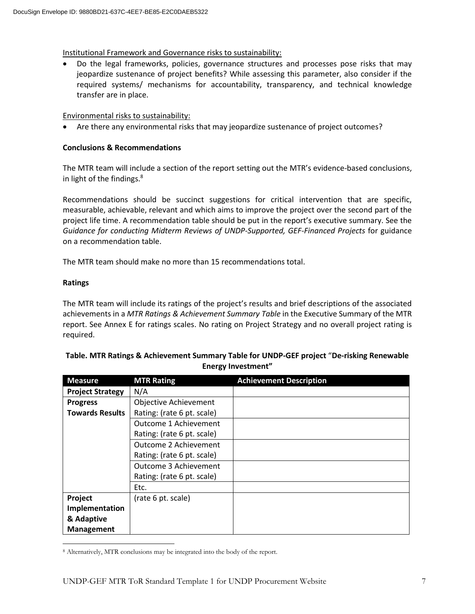Institutional Framework and Governance risks to sustainability:

 Do the legal frameworks, policies, governance structures and processes pose risks that may jeopardize sustenance of project benefits? While assessing this parameter, also consider if the required systems/ mechanisms for accountability, transparency, and technical knowledge transfer are in place.

Environmental risks to sustainability:

Are there any environmental risks that may jeopardize sustenance of project outcomes?

### **Conclusions & Recommendations**

The MTR team will include a section of the report setting out the MTR's evidence-based conclusions, in light of the findings.<sup>8</sup>

Recommendations should be succinct suggestions for critical intervention that are specific, measurable, achievable, relevant and which aims to improve the project over the second part of the project life time. A recommendation table should be put in the report's executive summary. See the *Guidance for conducting Midterm Reviews of UNDP-Supported, GEF-Financed Projects* for guidance on a recommendation table.

The MTR team should make no more than 15 recommendations total.

### **Ratings**

The MTR team will include its ratings of the project's results and brief descriptions of the associated achievements in a *MTR Ratings & Achievement Summary Table* in the Executive Summary of the MTR report. See Annex E for ratings scales. No rating on Project Strategy and no overall project rating is required.

### **Table. MTR Ratings & Achievement Summary Table for UNDP-GEF project** "**De-risking Renewable Energy Investment"**

| <b>Measure</b>          | <b>MTR Rating</b>          | <b>Achievement Description</b> |
|-------------------------|----------------------------|--------------------------------|
| <b>Project Strategy</b> | N/A                        |                                |
| <b>Progress</b>         | Objective Achievement      |                                |
| <b>Towards Results</b>  | Rating: (rate 6 pt. scale) |                                |
|                         | Outcome 1 Achievement      |                                |
|                         | Rating: (rate 6 pt. scale) |                                |
|                         | Outcome 2 Achievement      |                                |
|                         | Rating: (rate 6 pt. scale) |                                |
|                         | Outcome 3 Achievement      |                                |
|                         | Rating: (rate 6 pt. scale) |                                |
|                         | Etc.                       |                                |
| Project                 | (rate 6 pt. scale)         |                                |
| Implementation          |                            |                                |
| & Adaptive              |                            |                                |
| Management              |                            |                                |

 $\overline{a}$ <sup>8</sup> Alternatively, MTR conclusions may be integrated into the body of the report.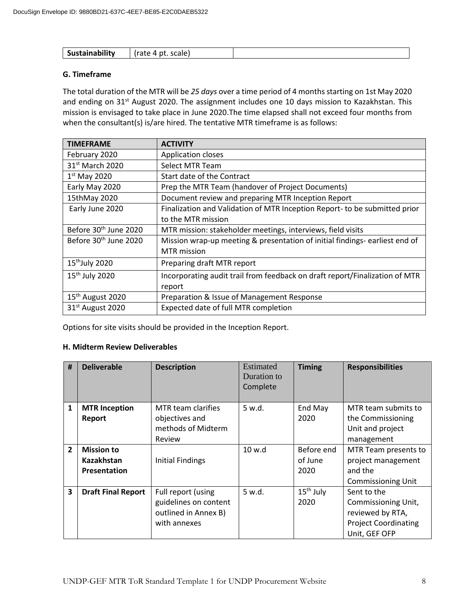| $\cdots$<br>эн. | .<br>scale<br>$\sim$ $\sim$ |  |
|-----------------|-----------------------------|--|

### **G. Timeframe**

The total duration of the MTR will be *25 days* over a time period of 4 months starting on 1st May 2020 and ending on 31<sup>st</sup> August 2020. The assignment includes one 10 days mission to Kazakhstan. This mission is envisaged to take place in June 2020.The time elapsed shall not exceed four months from when the consultant(s) is/are hired. The tentative MTR timeframe is as follows:

| <b>TIMEFRAME</b>                  | <b>ACTIVITY</b>                                                             |
|-----------------------------------|-----------------------------------------------------------------------------|
| February 2020                     | Application closes                                                          |
| 31 <sup>st</sup> March 2020       | Select MTR Team                                                             |
| $1st$ May 2020                    | Start date of the Contract                                                  |
| Early May 2020                    | Prep the MTR Team (handover of Project Documents)                           |
| 15thMay 2020                      | Document review and preparing MTR Inception Report                          |
| Early June 2020                   | Finalization and Validation of MTR Inception Report- to be submitted prior  |
|                                   | to the MTR mission                                                          |
| Before 30 <sup>th</sup> June 2020 | MTR mission: stakeholder meetings, interviews, field visits                 |
| Before 30 <sup>th</sup> June 2020 | Mission wrap-up meeting & presentation of initial findings-earliest end of  |
|                                   | <b>MTR</b> mission                                                          |
| 15 <sup>th</sup> July 2020        | Preparing draft MTR report                                                  |
| $15th$ July 2020                  | Incorporating audit trail from feedback on draft report/Finalization of MTR |
|                                   | report                                                                      |
| 15 <sup>th</sup> August 2020      | Preparation & Issue of Management Response                                  |
| 31 <sup>st</sup> August 2020      | Expected date of full MTR completion                                        |

Options for site visits should be provided in the Inception Report.

#### **H. Midterm Review Deliverables**

| #              | <b>Deliverable</b>        | <b>Description</b>                   | Estimated<br>Duration to<br>Complete | <b>Timing</b>         | <b>Responsibilities</b>               |
|----------------|---------------------------|--------------------------------------|--------------------------------------|-----------------------|---------------------------------------|
| 1              | <b>MTR Inception</b>      | MTR team clarifies                   | 5 w.d.                               | End May               | MTR team submits to                   |
|                | Report                    | objectives and<br>methods of Midterm |                                      | 2020                  | the Commissioning<br>Unit and project |
|                |                           | Review                               |                                      |                       | management                            |
| $\overline{2}$ | <b>Mission to</b>         |                                      | 10 w.d                               | Before end            | MTR Team presents to                  |
|                | <b>Kazakhstan</b>         | <b>Initial Findings</b>              |                                      | of June               | project management                    |
|                | <b>Presentation</b>       |                                      |                                      | 2020                  | and the                               |
|                |                           |                                      |                                      |                       | <b>Commissioning Unit</b>             |
| 3              | <b>Draft Final Report</b> | Full report (using                   | 5 w.d.                               | 15 <sup>th</sup> July | Sent to the                           |
|                |                           | guidelines on content                |                                      | 2020                  | Commissioning Unit,                   |
|                |                           | outlined in Annex B)                 |                                      |                       | reviewed by RTA,                      |
|                |                           | with annexes                         |                                      |                       | <b>Project Coordinating</b>           |
|                |                           |                                      |                                      |                       | Unit, GEF OFP                         |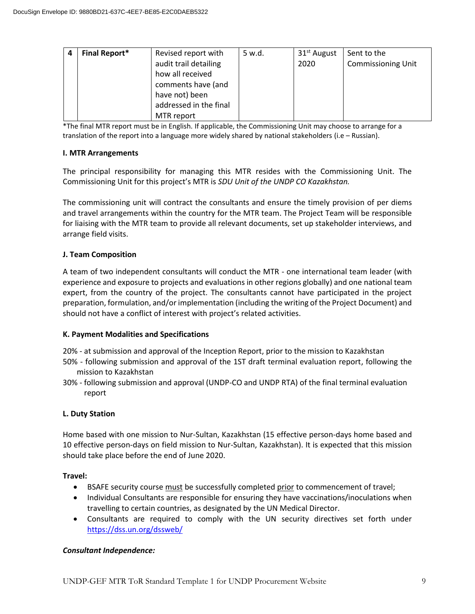| <b>Final Report*</b> | Revised report with    | 5 w.d. | 31 <sup>st</sup> August | Sent to the               |
|----------------------|------------------------|--------|-------------------------|---------------------------|
|                      | audit trail detailing  |        | 2020                    | <b>Commissioning Unit</b> |
|                      | how all received       |        |                         |                           |
|                      | comments have (and     |        |                         |                           |
|                      | have not) been         |        |                         |                           |
|                      | addressed in the final |        |                         |                           |
|                      | MTR report             |        |                         |                           |

\*The final MTR report must be in English. If applicable, the Commissioning Unit may choose to arrange for a translation of the report into a language more widely shared by national stakeholders (i.e – Russian).

#### **I. MTR Arrangements**

The principal responsibility for managing this MTR resides with the Commissioning Unit. The Commissioning Unit for this project's MTR is *SDU Unit of the UNDP CO Kazakhstan.*

The commissioning unit will contract the consultants and ensure the timely provision of per diems and travel arrangements within the country for the MTR team. The Project Team will be responsible for liaising with the MTR team to provide all relevant documents, set up stakeholder interviews, and arrange field visits.

#### **J. Team Composition**

A team of two independent consultants will conduct the MTR - one international team leader (with experience and exposure to projects and evaluations in other regions globally) and one national team expert, from the country of the project. The consultants cannot have participated in the project preparation, formulation, and/or implementation (including the writing of the Project Document) and should not have a conflict of interest with project's related activities.

### **K. Payment Modalities and Specifications**

- 20% at submission and approval of the Inception Report, prior to the mission to Kazakhstan
- 50% following submission and approval of the 1ST draft terminal evaluation report, following the mission to Kazakhstan
- 30% following submission and approval (UNDP-CO and UNDP RTA) of the final terminal evaluation report

### **L. Duty Station**

Home based with one mission to Nur-Sultan, Kazakhstan (15 effective person-days home based and 10 effective person-days on field mission to Nur-Sultan, Kazakhstan). It is expected that this mission should take place before the end of June 2020.

#### **Travel:**

- BSAFE security course must be successfully completed prior to commencement of travel;
- Individual Consultants are responsible for ensuring they have vaccinations/inoculations when travelling to certain countries, as designated by the UN Medical Director.
- Consultants are required to comply with the UN security directives set forth under <https://dss.un.org/dssweb/>

#### *Consultant Independence:*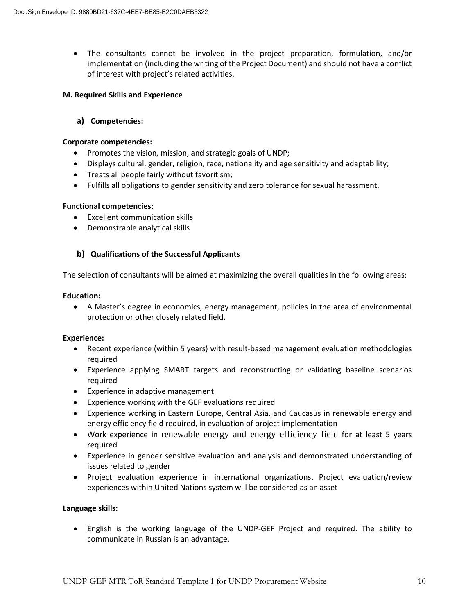The consultants cannot be involved in the project preparation, formulation, and/or implementation (including the writing of the Project Document) and should not have a conflict of interest with project's related activities.

#### **M. Required Skills and Experience**

**a) Competencies:**

#### **Corporate competencies:**

- Promotes the vision, mission, and strategic goals of UNDP;
- Displays cultural, gender, religion, race, nationality and age sensitivity and adaptability;
- Treats all people fairly without favoritism;
- Fulfills all obligations to gender sensitivity and zero tolerance for sexual harassment.

#### **Functional competencies:**

- Excellent communication skills
- Demonstrable analytical skills

### **b) Qualifications of the Successful Applicants**

The selection of consultants will be aimed at maximizing the overall qualities in the following areas:

#### **Education:**

 A Master's degree in economics, energy management, policies in the area of environmental protection or other closely related field.

### **Experience:**

- Recent experience (within 5 years) with result-based management evaluation methodologies required
- Experience applying SMART targets and reconstructing or validating baseline scenarios required
- Experience in adaptive management
- Experience working with the GEF evaluations required
- Experience working in Eastern Europe, Central Asia, and Caucasus in renewable energy and energy efficiency field required, in evaluation of project implementation
- Work experience in renewable energy and energy efficiency field for at least 5 years required
- Experience in gender sensitive evaluation and analysis and demonstrated understanding of issues related to gender
- Project evaluation experience in international organizations. Project evaluation/review experiences within United Nations system will be considered as an asset

### **Language skills:**

 English is the working language of the UNDP-GEF Project and required. The ability to communicate in Russian is an advantage.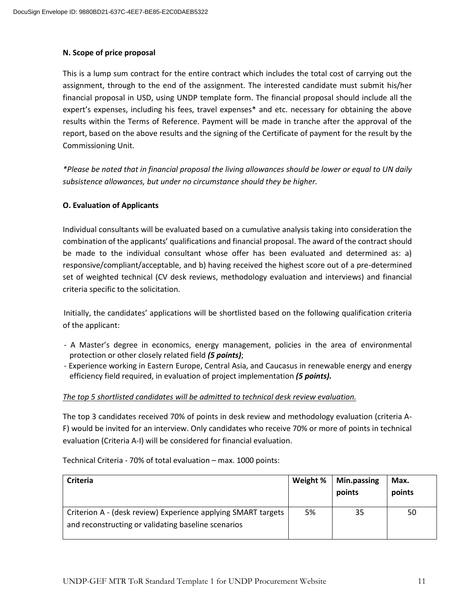### **N. Scope of price proposal**

This is a lump sum contract for the entire contract which includes the total cost of carrying out the assignment, through to the end of the assignment. The interested candidate must submit his/her financial proposal in USD, using UNDP template form. The financial proposal should include all the expert's expenses, including his fees, travel expenses\* and etc. necessary for obtaining the above results within the Terms of Reference. Payment will be made in tranche after the approval of the report, based on the above results and the signing of the Certificate of payment for the result by the Commissioning Unit.

*\*Please be noted that in financial proposal the living allowances should be lower or equal to UN daily subsistence allowances, but under no circumstance should they be higher.*

### **O. Evaluation of Applicants**

Individual consultants will be evaluated based on a cumulative analysis taking into consideration the combination of the applicants' qualifications and financial proposal. The award of the contract should be made to the individual consultant whose offer has been evaluated and determined as: a) responsive/compliant/acceptable, and b) having received the highest score out of a pre-determined set of weighted technical (CV desk reviews, methodology evaluation and interviews) and financial criteria specific to the solicitation.

Initially, the candidates' applications will be shortlisted based on the following qualification criteria of the applicant:

- A Master's degree in economics, energy management, policies in the area of environmental protection or other closely related field *(5 points)*;
- Experience working in Eastern Europe, Central Asia, and Caucasus in renewable energy and energy efficiency field required, in evaluation of project implementation *(5 points).*

### *The top 5 shortlisted candidates will be admitted to technical desk review evaluation.*

The top 3 candidates received 70% of points in desk review and methodology evaluation (criteria A-F) would be invited for an interview. Only candidates who receive 70% or more of points in technical evaluation (Criteria A-I) will be considered for financial evaluation.

Technical Criteria - 70% of total evaluation – max. 1000 points:

| <b>Criteria</b>                                                                                                      | Weight % | Min.passing<br>points | Max.<br>points |
|----------------------------------------------------------------------------------------------------------------------|----------|-----------------------|----------------|
| Criterion A - (desk review) Experience applying SMART targets<br>and reconstructing or validating baseline scenarios | 5%       | 35                    | 50             |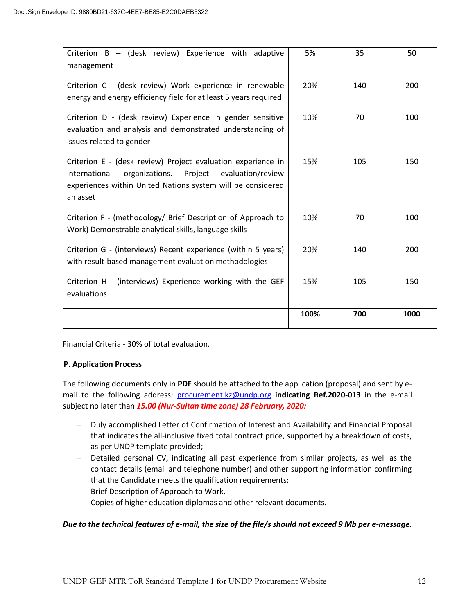| Criterion B - (desk review) Experience with adaptive<br>management                                                                                                                                   | 5%   | 35  | 50   |
|------------------------------------------------------------------------------------------------------------------------------------------------------------------------------------------------------|------|-----|------|
| Criterion C - (desk review) Work experience in renewable<br>energy and energy efficiency field for at least 5 years required                                                                         | 20%  | 140 | 200  |
| Criterion D - (desk review) Experience in gender sensitive<br>evaluation and analysis and demonstrated understanding of<br>issues related to gender                                                  | 10%  | 70  | 100  |
| Criterion E - (desk review) Project evaluation experience in<br>organizations. Project evaluation/review<br>international<br>experiences within United Nations system will be considered<br>an asset | 15%  | 105 | 150  |
| Criterion F - (methodology/ Brief Description of Approach to<br>Work) Demonstrable analytical skills, language skills                                                                                | 10%  | 70  | 100  |
| Criterion G - (interviews) Recent experience (within 5 years)<br>with result-based management evaluation methodologies                                                                               | 20%  | 140 | 200  |
| Criterion H - (interviews) Experience working with the GEF<br>evaluations                                                                                                                            | 15%  | 105 | 150  |
|                                                                                                                                                                                                      | 100% | 700 | 1000 |

Financial Criteria - 30% of total evaluation.

### **P. Application Process**

The following documents only in **PDF** should be attached to the application (proposal) and sent by email to the following address: [procurement.kz@undp.org](mailto:procurement.kz@undp.org) **indicating Ref.2020-013** in the e-mail subject no later than *15.00 (Nur-Sultan time zone) 28 February, 2020:*

- Duly accomplished Letter of Confirmation of Interest and Availability and Financial Proposal that indicates the all-inclusive fixed total contract price, supported by a breakdown of costs, as per UNDP template provided;
- Detailed personal CV, indicating all past experience from similar projects, as well as the contact details (email and telephone number) and other supporting information confirming that the Candidate meets the qualification requirements;
- Brief Description of Approach to Work.
- Copies of higher education diplomas and other relevant documents.

### *Due to the technical features of e-mail, the size of the file/s should not exceed 9 Mb per e-message.*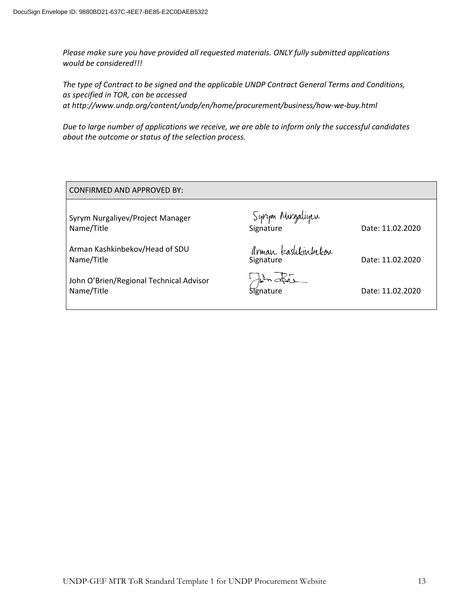*Please make sure you have provided all requested materials. ONLY fully submitted applications would be considered!!!*

*The type of Contract to be signed and the applicable UNDP Contract General Terms and Conditions, as specified in [TOR,](http://procurement-notices.undp.org/view_file.cfm?doc_id=201763) can be accessed at <http://www.undp.org/content/undp/en/home/procurement/business/how-we-buy.html>*

*Due to large number of applications we receive, we are able to inform only the successful candidates about the outcome or status of the selection process.*

| <b>CONFIRMED AND APPROVED BY:</b>                     |                                  |                  |
|-------------------------------------------------------|----------------------------------|------------------|
| Syrym Nurgaliyev/Project Manager<br>Name/Title        | Syrym Murgaliyen<br>Signature    | Date: 11.02.2020 |
| Arman Kashkinbekov/Head of SDU<br>Name/Title          | Arman kaslikinbekor<br>Signature | Date: 11.02.2020 |
| John O'Brien/Regional Technical Advisor<br>Name/Title | Signature                        | Date: 11.02.2020 |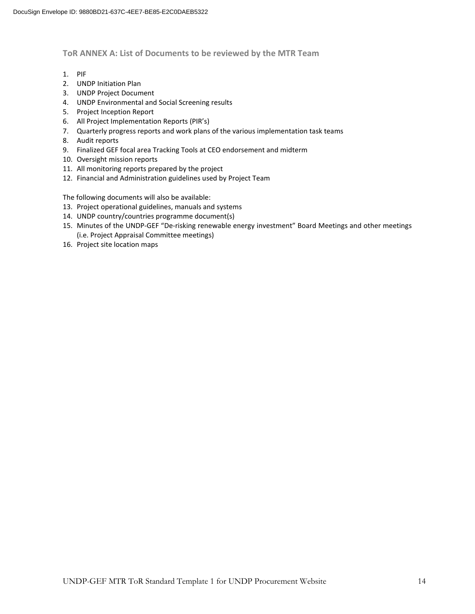#### **ToR ANNEX A: List of Documents to be reviewed by the MTR Team**

- 1. PIF
- 2. UNDP Initiation Plan
- 3. UNDP Project Document
- 4. UNDP Environmental and Social Screening results
- 5. Project Inception Report
- 6. All Project Implementation Reports (PIR's)
- 7. Quarterly progress reports and work plans of the various implementation task teams
- 8. Audit reports
- 9. Finalized GEF focal area Tracking Tools at CEO endorsement and midterm
- 10. Oversight mission reports
- 11. All monitoring reports prepared by the project
- 12. Financial and Administration guidelines used by Project Team

The following documents will also be available:

- 13. Project operational guidelines, manuals and systems
- 14. UNDP country/countries programme document(s)
- 15. Minutes of the UNDP-GEF "De-risking renewable energy investment" Board Meetings and other meetings (i.e. Project Appraisal Committee meetings)
- 16. Project site location maps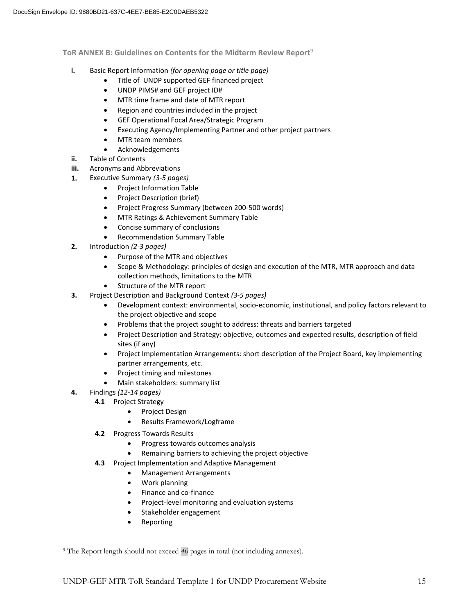**ToR ANNEX B: Guidelines on Contents for the Midterm Review Report**<sup>9</sup>

- **i.** Basic Report Information *(for opening page or title page)*
	- Title of UNDP supported GEF financed project
	- UNDP PIMS# and GEF project ID#
	- MTR time frame and date of MTR report
	- Region and countries included in the project
	- GEF Operational Focal Area/Strategic Program
	- Executing Agency/Implementing Partner and other project partners
	- MTR team members
	- Acknowledgements
- **ii.** Table of Contents
- **iii.** Acronyms and Abbreviations
- **1.** Executive Summary *(3-5 pages)*
	- Project Information Table
	- Project Description (brief)
	- Project Progress Summary (between 200-500 words)
	- MTR Ratings & Achievement Summary Table
	- Concise summary of conclusions
	- Recommendation Summary Table
- **2.** Introduction *(2-3 pages)*
	- Purpose of the MTR and objectives
	- Scope & Methodology: principles of design and execution of the MTR, MTR approach and data collection methods, limitations to the MTR
	- Structure of the MTR report
- **3.** Project Description and Background Context *(3-5 pages)*
	- Development context: environmental, socio-economic, institutional, and policy factors relevant to the project objective and scope
	- Problems that the project sought to address: threats and barriers targeted
	- Project Description and Strategy: objective, outcomes and expected results, description of field sites (if any)
	- Project Implementation Arrangements: short description of the Project Board, key implementing partner arrangements, etc.
	- Project timing and milestones
	- Main stakeholders: summary list
- **4.** Findings *(12-14 pages)*

 $\overline{\phantom{a}}$ 

- **4.1** Project Strategy
	- Project Design
	- Results Framework/Logframe
- **4.2** Progress Towards Results
	- Progress towards outcomes analysis
		- Remaining barriers to achieving the project objective
- **4.3** Project Implementation and Adaptive Management
	- Management Arrangements
	- Work planning
	- Finance and co-finance
	- Project-level monitoring and evaluation systems
	- Stakeholder engagement
	- Reporting

<sup>9</sup> The Report length should not exceed *40* pages in total (not including annexes).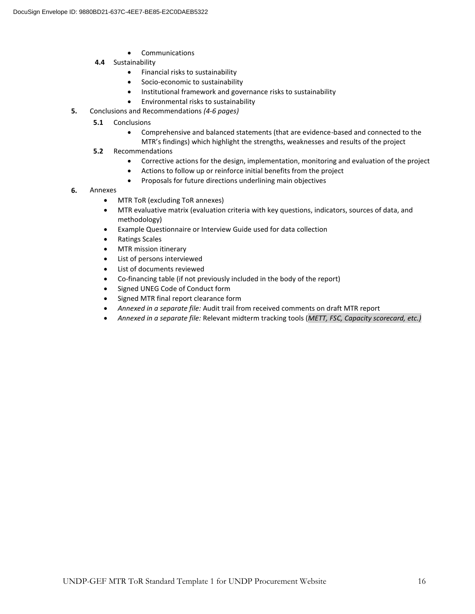- Communications
- **4.4** Sustainability
	- Financial risks to sustainability
	- Socio-economic to sustainability
	- Institutional framework and governance risks to sustainability
	- Environmental risks to sustainability
- **5.** Conclusions and Recommendations *(4-6 pages)*
	- **5.1**  Conclusions
		- Comprehensive and balanced statements (that are evidence-based and connected to the MTR's findings) which highlight the strengths, weaknesses and results of the project
	- **5.2** Recommendations
		- Corrective actions for the design, implementation, monitoring and evaluation of the project
		- Actions to follow up or reinforce initial benefits from the project
		- Proposals for future directions underlining main objectives
- **6.** Annexes
	- MTR ToR (excluding ToR annexes)
	- MTR evaluative matrix (evaluation criteria with key questions, indicators, sources of data, and methodology)
	- Example Questionnaire or Interview Guide used for data collection
	- Ratings Scales
	- MTR mission itinerary
	- List of persons interviewed
	- List of documents reviewed
	- Co-financing table (if not previously included in the body of the report)
	- Signed UNEG Code of Conduct form
	- Signed MTR final report clearance form
	- *Annexed in a separate file:* Audit trail from received comments on draft MTR report
	- *Annexed in a separate file:* Relevant midterm tracking tools (*METT, FSC, Capacity scorecard, etc.)*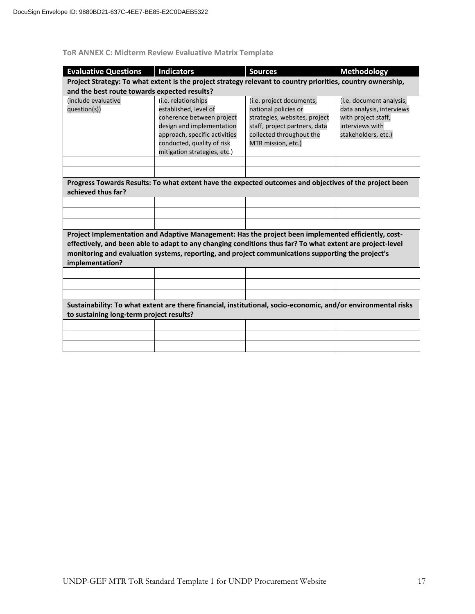## **ToR ANNEX C: Midterm Review Evaluative Matrix Template**

| <b>Evaluative Questions</b>                                                                                                                                                                                                                                                                                                              | <b>Indicators</b>                                                                                                                                                                                     | <b>Sources</b>                                                                                                                                                       | <b>Methodology</b>                                                                                                     |  |  |  |  |
|------------------------------------------------------------------------------------------------------------------------------------------------------------------------------------------------------------------------------------------------------------------------------------------------------------------------------------------|-------------------------------------------------------------------------------------------------------------------------------------------------------------------------------------------------------|----------------------------------------------------------------------------------------------------------------------------------------------------------------------|------------------------------------------------------------------------------------------------------------------------|--|--|--|--|
|                                                                                                                                                                                                                                                                                                                                          | Project Strategy: To what extent is the project strategy relevant to country priorities, country ownership,                                                                                           |                                                                                                                                                                      |                                                                                                                        |  |  |  |  |
| and the best route towards expected results?                                                                                                                                                                                                                                                                                             |                                                                                                                                                                                                       |                                                                                                                                                                      |                                                                                                                        |  |  |  |  |
| (include evaluative<br>question(s))                                                                                                                                                                                                                                                                                                      | (i.e. relationships<br>established, level of<br>coherence between project<br>design and implementation<br>approach, specific activities<br>conducted, quality of risk<br>mitigation strategies, etc.) | (i.e. project documents,<br>national policies or<br>strategies, websites, project<br>staff, project partners, data<br>collected throughout the<br>MTR mission, etc.) | (i.e. document analysis,<br>data analysis, interviews<br>with project staff,<br>interviews with<br>stakeholders, etc.) |  |  |  |  |
|                                                                                                                                                                                                                                                                                                                                          |                                                                                                                                                                                                       |                                                                                                                                                                      |                                                                                                                        |  |  |  |  |
|                                                                                                                                                                                                                                                                                                                                          |                                                                                                                                                                                                       |                                                                                                                                                                      |                                                                                                                        |  |  |  |  |
| achieved thus far?                                                                                                                                                                                                                                                                                                                       | Progress Towards Results: To what extent have the expected outcomes and objectives of the project been                                                                                                |                                                                                                                                                                      |                                                                                                                        |  |  |  |  |
|                                                                                                                                                                                                                                                                                                                                          |                                                                                                                                                                                                       |                                                                                                                                                                      |                                                                                                                        |  |  |  |  |
|                                                                                                                                                                                                                                                                                                                                          |                                                                                                                                                                                                       |                                                                                                                                                                      |                                                                                                                        |  |  |  |  |
|                                                                                                                                                                                                                                                                                                                                          |                                                                                                                                                                                                       |                                                                                                                                                                      |                                                                                                                        |  |  |  |  |
| Project Implementation and Adaptive Management: Has the project been implemented efficiently, cost-<br>effectively, and been able to adapt to any changing conditions thus far? To what extent are project-level<br>monitoring and evaluation systems, reporting, and project communications supporting the project's<br>implementation? |                                                                                                                                                                                                       |                                                                                                                                                                      |                                                                                                                        |  |  |  |  |
|                                                                                                                                                                                                                                                                                                                                          |                                                                                                                                                                                                       |                                                                                                                                                                      |                                                                                                                        |  |  |  |  |
|                                                                                                                                                                                                                                                                                                                                          |                                                                                                                                                                                                       |                                                                                                                                                                      |                                                                                                                        |  |  |  |  |
|                                                                                                                                                                                                                                                                                                                                          |                                                                                                                                                                                                       |                                                                                                                                                                      |                                                                                                                        |  |  |  |  |
| Sustainability: To what extent are there financial, institutional, socio-economic, and/or environmental risks<br>to sustaining long-term project results?                                                                                                                                                                                |                                                                                                                                                                                                       |                                                                                                                                                                      |                                                                                                                        |  |  |  |  |
|                                                                                                                                                                                                                                                                                                                                          |                                                                                                                                                                                                       |                                                                                                                                                                      |                                                                                                                        |  |  |  |  |
|                                                                                                                                                                                                                                                                                                                                          |                                                                                                                                                                                                       |                                                                                                                                                                      |                                                                                                                        |  |  |  |  |
|                                                                                                                                                                                                                                                                                                                                          |                                                                                                                                                                                                       |                                                                                                                                                                      |                                                                                                                        |  |  |  |  |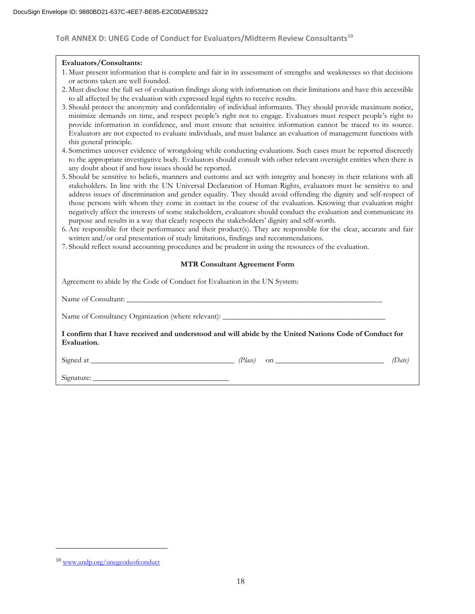#### **ToR ANNEX D: UNEG Code of Conduct for Evaluators/Midterm Review Consultants<sup>10</sup>**

#### **Evaluators/Consultants:**

- 1. Must present information that is complete and fair in its assessment of strengths and weaknesses so that decisions or actions taken are well founded.
- 2. Must disclose the full set of evaluation findings along with information on their limitations and have this accessible to all affected by the evaluation with expressed legal rights to receive results.
- 3. Should protect the anonymity and confidentiality of individual informants. They should provide maximum notice, minimize demands on time, and respect people's right not to engage. Evaluators must respect people's right to provide information in confidence, and must ensure that sensitive information cannot be traced to its source. Evaluators are not expected to evaluate individuals, and must balance an evaluation of management functions with this general principle.
- 4. Sometimes uncover evidence of wrongdoing while conducting evaluations. Such cases must be reported discreetly to the appropriate investigative body. Evaluators should consult with other relevant oversight entities when there is any doubt about if and how issues should be reported.
- 5. Should be sensitive to beliefs, manners and customs and act with integrity and honesty in their relations with all stakeholders. In line with the UN Universal Declaration of Human Rights, evaluators must be sensitive to and address issues of discrimination and gender equality. They should avoid offending the dignity and self-respect of those persons with whom they come in contact in the course of the evaluation. Knowing that evaluation might negatively affect the interests of some stakeholders, evaluators should conduct the evaluation and communicate its purpose and results in a way that clearly respects the stakeholders' dignity and self-worth.
- 6. Are responsible for their performance and their product(s). They are responsible for the clear, accurate and fair written and/or oral presentation of study limitations, findings and recommendations.
- 7. Should reflect sound accounting procedures and be prudent in using the resources of the evaluation.

#### **MTR Consultant Agreement Form**

| Agreement to abide by the Code of Conduct for Evaluation in the UN System: |
|----------------------------------------------------------------------------|
|----------------------------------------------------------------------------|

| I confirm that I have received and understood and will abide by the United Nations Code of Conduct for<br>Evaluation. |        |
|-----------------------------------------------------------------------------------------------------------------------|--------|
|                                                                                                                       | (Date) |
|                                                                                                                       |        |

 $\overline{\phantom{a}}$ 

<sup>&</sup>lt;sup>10</sup> [www.undp.org/unegcodeofconduct](http://www.undp.org/unegcodeofconduct)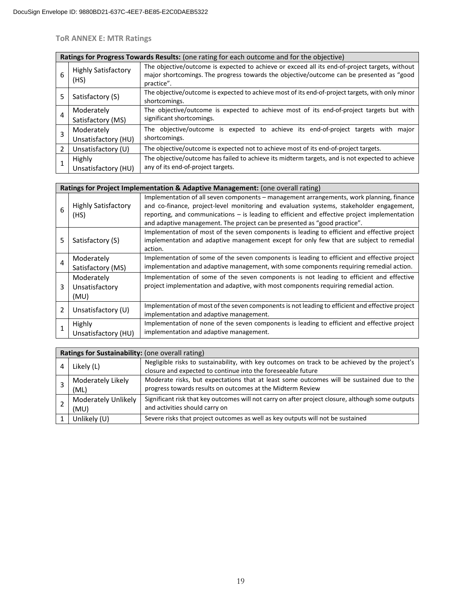**ToR ANNEX E: MTR Ratings**

| Ratings for Progress Towards Results: (one rating for each outcome and for the objective) |                                    |                                                                                                                                                                                                          |  |  |  |
|-------------------------------------------------------------------------------------------|------------------------------------|----------------------------------------------------------------------------------------------------------------------------------------------------------------------------------------------------------|--|--|--|
| 6                                                                                         | <b>Highly Satisfactory</b><br>(HS) | The objective/outcome is expected to achieve or exceed all its end-of-project targets, without<br>major shortcomings. The progress towards the objective/outcome can be presented as "good<br>practice". |  |  |  |
| 5                                                                                         | Satisfactory (S)                   | The objective/outcome is expected to achieve most of its end-of-project targets, with only minor<br>shortcomings.                                                                                        |  |  |  |
| 4                                                                                         | Moderately<br>Satisfactory (MS)    | The objective/outcome is expected to achieve most of its end-of-project targets but with<br>significant shortcomings.                                                                                    |  |  |  |
| 3                                                                                         | Moderately<br>Unsatisfactory (HU)  | The objective/outcome is expected to achieve its end-of-project targets with major<br>shortcomings.                                                                                                      |  |  |  |
| 2                                                                                         | Unsatisfactory (U)                 | The objective/outcome is expected not to achieve most of its end-of-project targets.                                                                                                                     |  |  |  |
|                                                                                           | Highly<br>Unsatisfactory (HU)      | The objective/outcome has failed to achieve its midterm targets, and is not expected to achieve<br>any of its end-of-project targets.                                                                    |  |  |  |

|   | Ratings for Project Implementation & Adaptive Management: (one overall rating) |                                                                                                                                                                                                                                                                                                                                                                     |  |  |  |  |  |
|---|--------------------------------------------------------------------------------|---------------------------------------------------------------------------------------------------------------------------------------------------------------------------------------------------------------------------------------------------------------------------------------------------------------------------------------------------------------------|--|--|--|--|--|
| 6 | <b>Highly Satisfactory</b><br>(HS)                                             | Implementation of all seven components – management arrangements, work planning, finance<br>and co-finance, project-level monitoring and evaluation systems, stakeholder engagement,<br>reporting, and communications $-$ is leading to efficient and effective project implementation<br>and adaptive management. The project can be presented as "good practice". |  |  |  |  |  |
| 5 | Satisfactory (S)                                                               | Implementation of most of the seven components is leading to efficient and effective project<br>implementation and adaptive management except for only few that are subject to remedial<br>action.                                                                                                                                                                  |  |  |  |  |  |
| 4 | Moderately<br>Satisfactory (MS)                                                | Implementation of some of the seven components is leading to efficient and effective project<br>implementation and adaptive management, with some components requiring remedial action.                                                                                                                                                                             |  |  |  |  |  |
| 3 | Moderately<br>Unsatisfactory<br>(MU)                                           | Implementation of some of the seven components is not leading to efficient and effective<br>project implementation and adaptive, with most components requiring remedial action.                                                                                                                                                                                    |  |  |  |  |  |
| 2 | Unsatisfactory (U)                                                             | Implementation of most of the seven components is not leading to efficient and effective project<br>implementation and adaptive management.                                                                                                                                                                                                                         |  |  |  |  |  |
|   | Highly<br>Unsatisfactory (HU)                                                  | Implementation of none of the seven components is leading to efficient and effective project<br>implementation and adaptive management.                                                                                                                                                                                                                             |  |  |  |  |  |

| Ratings for Sustainability: (one overall rating) |                     |                                                                                                   |  |  |  |  |
|--------------------------------------------------|---------------------|---------------------------------------------------------------------------------------------------|--|--|--|--|
|                                                  | Likely (L)          | Negligible risks to sustainability, with key outcomes on track to be achieved by the project's    |  |  |  |  |
|                                                  |                     | closure and expected to continue into the foreseeable future                                      |  |  |  |  |
|                                                  | Moderately Likely   | Moderate risks, but expectations that at least some outcomes will be sustained due to the         |  |  |  |  |
|                                                  | (ML)                | progress towards results on outcomes at the Midterm Review                                        |  |  |  |  |
|                                                  | Moderately Unlikely | Significant risk that key outcomes will not carry on after project closure, although some outputs |  |  |  |  |
|                                                  | (MU)                | and activities should carry on                                                                    |  |  |  |  |
|                                                  | Unlikely (U)        | Severe risks that project outcomes as well as key outputs will not be sustained                   |  |  |  |  |